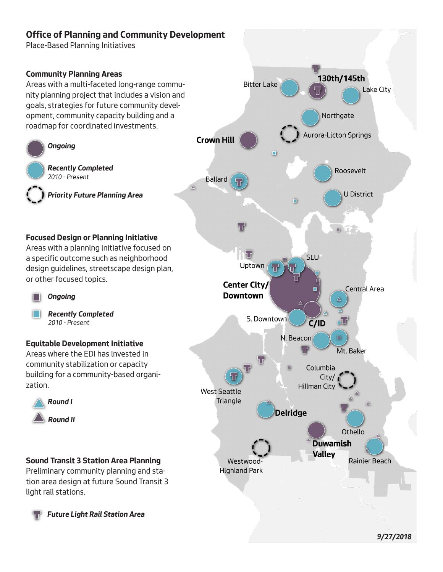## **Office of Planning and Community Development**

Place-Based Planning Initiatives



# *9/27/2018*